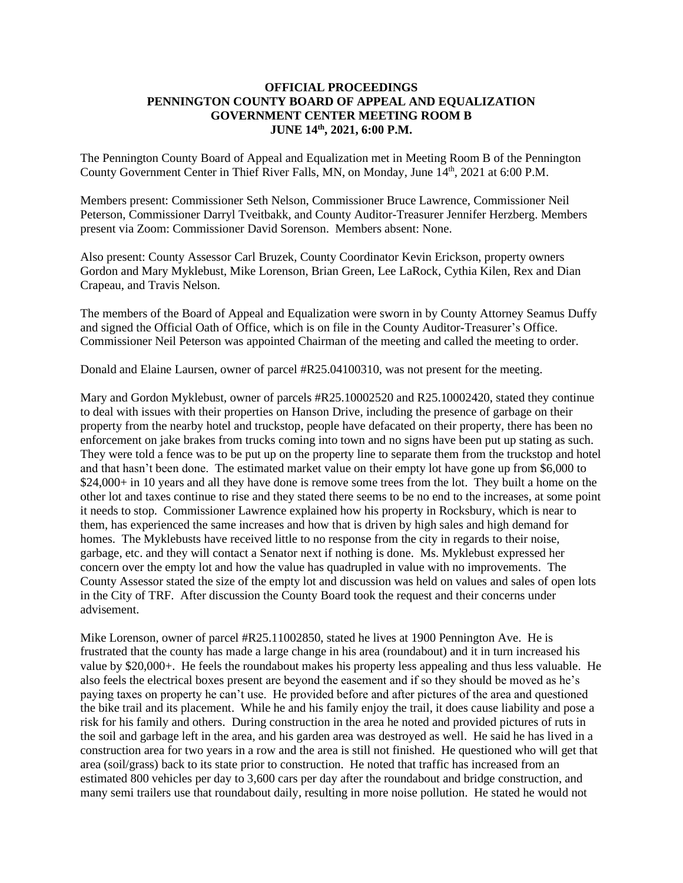## **OFFICIAL PROCEEDINGS PENNINGTON COUNTY BOARD OF APPEAL AND EQUALIZATION GOVERNMENT CENTER MEETING ROOM B JUNE 14 th, 2021, 6:00 P.M.**

The Pennington County Board of Appeal and Equalization met in Meeting Room B of the Pennington County Government Center in Thief River Falls, MN, on Monday, June 14<sup>th</sup>, 2021 at 6:00 P.M.

Members present: Commissioner Seth Nelson, Commissioner Bruce Lawrence, Commissioner Neil Peterson, Commissioner Darryl Tveitbakk, and County Auditor-Treasurer Jennifer Herzberg. Members present via Zoom: Commissioner David Sorenson. Members absent: None.

Also present: County Assessor Carl Bruzek, County Coordinator Kevin Erickson, property owners Gordon and Mary Myklebust, Mike Lorenson, Brian Green, Lee LaRock, Cythia Kilen, Rex and Dian Crapeau, and Travis Nelson.

The members of the Board of Appeal and Equalization were sworn in by County Attorney Seamus Duffy and signed the Official Oath of Office, which is on file in the County Auditor-Treasurer's Office. Commissioner Neil Peterson was appointed Chairman of the meeting and called the meeting to order.

Donald and Elaine Laursen, owner of parcel #R25.04100310, was not present for the meeting.

Mary and Gordon Myklebust, owner of parcels #R25.10002520 and R25.10002420, stated they continue to deal with issues with their properties on Hanson Drive, including the presence of garbage on their property from the nearby hotel and truckstop, people have defacated on their property, there has been no enforcement on jake brakes from trucks coming into town and no signs have been put up stating as such. They were told a fence was to be put up on the property line to separate them from the truckstop and hotel and that hasn't been done. The estimated market value on their empty lot have gone up from \$6,000 to \$24,000+ in 10 years and all they have done is remove some trees from the lot. They built a home on the other lot and taxes continue to rise and they stated there seems to be no end to the increases, at some point it needs to stop. Commissioner Lawrence explained how his property in Rocksbury, which is near to them, has experienced the same increases and how that is driven by high sales and high demand for homes. The Myklebusts have received little to no response from the city in regards to their noise, garbage, etc. and they will contact a Senator next if nothing is done. Ms. Myklebust expressed her concern over the empty lot and how the value has quadrupled in value with no improvements. The County Assessor stated the size of the empty lot and discussion was held on values and sales of open lots in the City of TRF. After discussion the County Board took the request and their concerns under advisement.

Mike Lorenson, owner of parcel #R25.11002850, stated he lives at 1900 Pennington Ave. He is frustrated that the county has made a large change in his area (roundabout) and it in turn increased his value by \$20,000+. He feels the roundabout makes his property less appealing and thus less valuable. He also feels the electrical boxes present are beyond the easement and if so they should be moved as he's paying taxes on property he can't use. He provided before and after pictures of the area and questioned the bike trail and its placement. While he and his family enjoy the trail, it does cause liability and pose a risk for his family and others. During construction in the area he noted and provided pictures of ruts in the soil and garbage left in the area, and his garden area was destroyed as well. He said he has lived in a construction area for two years in a row and the area is still not finished. He questioned who will get that area (soil/grass) back to its state prior to construction. He noted that traffic has increased from an estimated 800 vehicles per day to 3,600 cars per day after the roundabout and bridge construction, and many semi trailers use that roundabout daily, resulting in more noise pollution. He stated he would not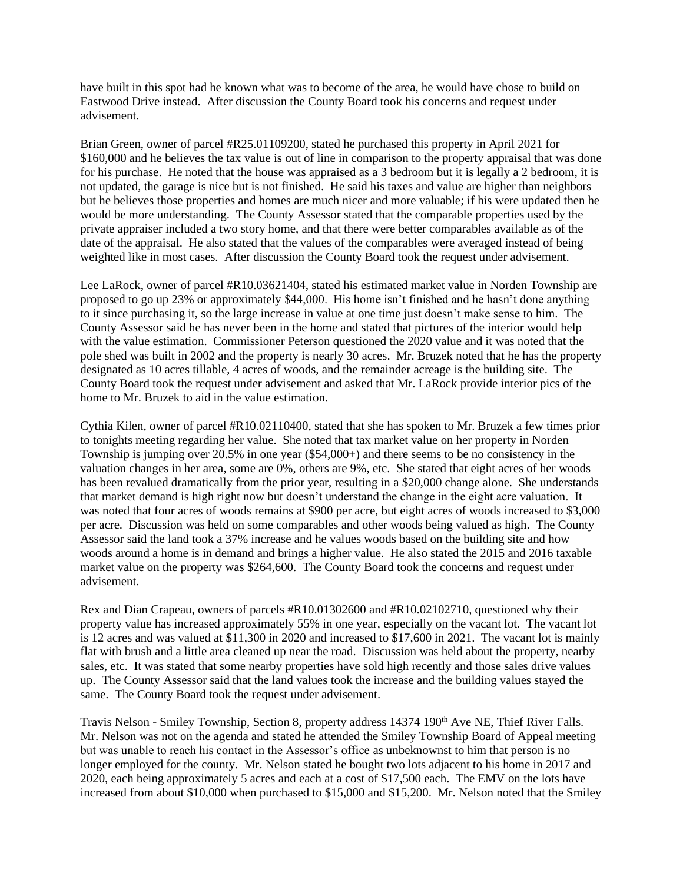have built in this spot had he known what was to become of the area, he would have chose to build on Eastwood Drive instead. After discussion the County Board took his concerns and request under advisement.

Brian Green, owner of parcel #R25.01109200, stated he purchased this property in April 2021 for \$160,000 and he believes the tax value is out of line in comparison to the property appraisal that was done for his purchase. He noted that the house was appraised as a 3 bedroom but it is legally a 2 bedroom, it is not updated, the garage is nice but is not finished. He said his taxes and value are higher than neighbors but he believes those properties and homes are much nicer and more valuable; if his were updated then he would be more understanding. The County Assessor stated that the comparable properties used by the private appraiser included a two story home, and that there were better comparables available as of the date of the appraisal. He also stated that the values of the comparables were averaged instead of being weighted like in most cases. After discussion the County Board took the request under advisement.

Lee LaRock, owner of parcel #R10.03621404, stated his estimated market value in Norden Township are proposed to go up 23% or approximately \$44,000. His home isn't finished and he hasn't done anything to it since purchasing it, so the large increase in value at one time just doesn't make sense to him. The County Assessor said he has never been in the home and stated that pictures of the interior would help with the value estimation. Commissioner Peterson questioned the 2020 value and it was noted that the pole shed was built in 2002 and the property is nearly 30 acres. Mr. Bruzek noted that he has the property designated as 10 acres tillable, 4 acres of woods, and the remainder acreage is the building site. The County Board took the request under advisement and asked that Mr. LaRock provide interior pics of the home to Mr. Bruzek to aid in the value estimation.

Cythia Kilen, owner of parcel #R10.02110400, stated that she has spoken to Mr. Bruzek a few times prior to tonights meeting regarding her value. She noted that tax market value on her property in Norden Township is jumping over 20.5% in one year (\$54,000+) and there seems to be no consistency in the valuation changes in her area, some are 0%, others are 9%, etc. She stated that eight acres of her woods has been revalued dramatically from the prior year, resulting in a \$20,000 change alone. She understands that market demand is high right now but doesn't understand the change in the eight acre valuation. It was noted that four acres of woods remains at \$900 per acre, but eight acres of woods increased to \$3,000 per acre. Discussion was held on some comparables and other woods being valued as high. The County Assessor said the land took a 37% increase and he values woods based on the building site and how woods around a home is in demand and brings a higher value. He also stated the 2015 and 2016 taxable market value on the property was \$264,600. The County Board took the concerns and request under advisement.

Rex and Dian Crapeau, owners of parcels #R10.01302600 and #R10.02102710, questioned why their property value has increased approximately 55% in one year, especially on the vacant lot. The vacant lot is 12 acres and was valued at \$11,300 in 2020 and increased to \$17,600 in 2021. The vacant lot is mainly flat with brush and a little area cleaned up near the road. Discussion was held about the property, nearby sales, etc. It was stated that some nearby properties have sold high recently and those sales drive values up. The County Assessor said that the land values took the increase and the building values stayed the same. The County Board took the request under advisement.

Travis Nelson - Smiley Township, Section 8, property address 14374 190<sup>th</sup> Ave NE, Thief River Falls. Mr. Nelson was not on the agenda and stated he attended the Smiley Township Board of Appeal meeting but was unable to reach his contact in the Assessor's office as unbeknownst to him that person is no longer employed for the county. Mr. Nelson stated he bought two lots adjacent to his home in 2017 and 2020, each being approximately 5 acres and each at a cost of \$17,500 each. The EMV on the lots have increased from about \$10,000 when purchased to \$15,000 and \$15,200. Mr. Nelson noted that the Smiley